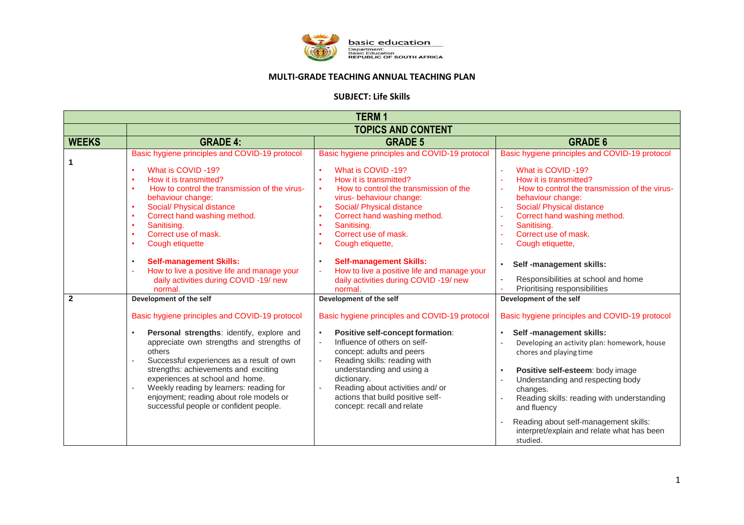

## **MULTI-GRADE TEACHING ANNUAL TEACHING PLAN**

## **SUBJECT: Life Skills**

| <b>TERM1</b>   |                                                                                                                                                                                                                                                                                                                                                                                                                                                                                                                                                       |                                                                                                                                                                                                                                                                                                                                                                                                                                                |                                                                                                                                                                                                                                                                                                                                                                                                                                       |
|----------------|-------------------------------------------------------------------------------------------------------------------------------------------------------------------------------------------------------------------------------------------------------------------------------------------------------------------------------------------------------------------------------------------------------------------------------------------------------------------------------------------------------------------------------------------------------|------------------------------------------------------------------------------------------------------------------------------------------------------------------------------------------------------------------------------------------------------------------------------------------------------------------------------------------------------------------------------------------------------------------------------------------------|---------------------------------------------------------------------------------------------------------------------------------------------------------------------------------------------------------------------------------------------------------------------------------------------------------------------------------------------------------------------------------------------------------------------------------------|
|                | <b>TOPICS AND CONTENT</b>                                                                                                                                                                                                                                                                                                                                                                                                                                                                                                                             |                                                                                                                                                                                                                                                                                                                                                                                                                                                |                                                                                                                                                                                                                                                                                                                                                                                                                                       |
| <b>WEEKS</b>   | <b>GRADE 4:</b>                                                                                                                                                                                                                                                                                                                                                                                                                                                                                                                                       | <b>GRADE 5</b>                                                                                                                                                                                                                                                                                                                                                                                                                                 | <b>GRADE 6</b>                                                                                                                                                                                                                                                                                                                                                                                                                        |
| 1              | Basic hygiene principles and COVID-19 protocol<br>What is COVID-19?<br>$\bullet$<br>How it is transmitted?<br>$\bullet$<br>How to control the transmission of the virus-<br>$\bullet$<br>behaviour change:<br>Social/ Physical distance<br>$\bullet$<br>Correct hand washing method.<br>$\bullet$<br>Sanitising.<br>$\bullet$<br>Correct use of mask.<br>$\bullet$<br>Cough etiquette<br>$\bullet$<br><b>Self-management Skills:</b><br>$\bullet$<br>How to live a positive life and manage your<br>daily activities during COVID -19/ new<br>normal. | Basic hygiene principles and COVID-19 protocol<br>What is COVID-19?<br>How it is transmitted?<br>How to control the transmission of the<br>$\bullet$<br>virus- behaviour change:<br>Social/ Physical distance<br>Correct hand washing method.<br>Sanitising.<br>Correct use of mask.<br>Cough etiquette,<br><b>Self-management Skills:</b><br>How to live a positive life and manage your<br>daily activities during COVID -19/ new<br>normal. | Basic hygiene principles and COVID-19 protocol<br>What is COVID-19?<br>How it is transmitted?<br>How to control the transmission of the virus-<br>behaviour change:<br>Social/ Physical distance<br>Correct hand washing method.<br>Sanitising.<br>Correct use of mask.<br>Cough etiquette,<br>Self -management skills:<br>Responsibilities at school and home<br>Prioritising responsibilities                                       |
| $\overline{2}$ | Development of the self<br>Basic hygiene principles and COVID-19 protocol<br>Personal strengths: identify, explore and<br>$\bullet$<br>appreciate own strengths and strengths of<br>others<br>Successful experiences as a result of own<br>strengths: achievements and exciting<br>experiences at school and home.<br>Weekly reading by learners: reading for<br>enjoyment; reading about role models or<br>successful people or confident people.                                                                                                    | Development of the self<br>Basic hygiene principles and COVID-19 protocol<br>Positive self-concept formation:<br>Influence of others on self-<br>concept: adults and peers<br>Reading skills: reading with<br>understanding and using a<br>dictionary.<br>Reading about activities and/ or<br>actions that build positive self-<br>concept: recall and relate                                                                                  | Development of the self<br>Basic hygiene principles and COVID-19 protocol<br>Self -management skills:<br>Developing an activity plan: homework, house<br>chores and playing time<br>Positive self-esteem: body image<br>Understanding and respecting body<br>changes.<br>Reading skills: reading with understanding<br>and fluency<br>Reading about self-management skills:<br>interpret/explain and relate what has been<br>studied. |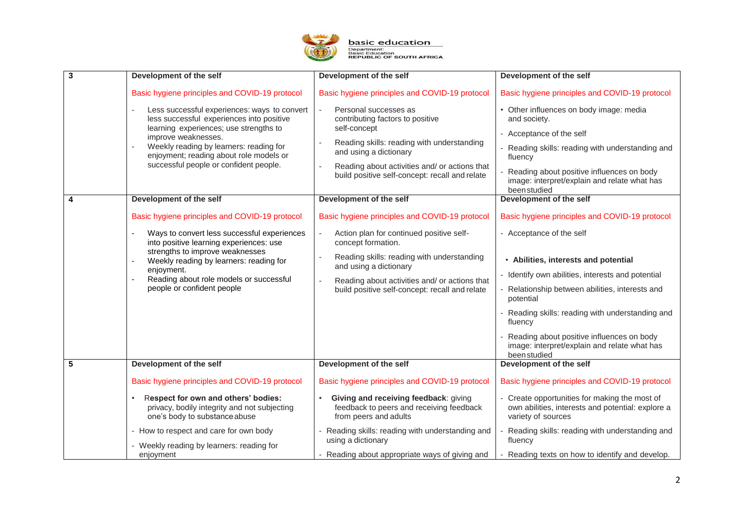

| $\overline{\mathbf{3}}$ | Development of the self                                                                                                                                                                                                                                                                                                                      | Development of the self                                                                                                                                                                                                                                                                                | Development of the self                                                                                                                                                                                                                                                                                                                                                                                         |
|-------------------------|----------------------------------------------------------------------------------------------------------------------------------------------------------------------------------------------------------------------------------------------------------------------------------------------------------------------------------------------|--------------------------------------------------------------------------------------------------------------------------------------------------------------------------------------------------------------------------------------------------------------------------------------------------------|-----------------------------------------------------------------------------------------------------------------------------------------------------------------------------------------------------------------------------------------------------------------------------------------------------------------------------------------------------------------------------------------------------------------|
|                         | Basic hygiene principles and COVID-19 protocol<br>Less successful experiences: ways to convert<br>less successful experiences into positive<br>learning experiences; use strengths to<br>improve weaknesses.<br>Weekly reading by learners: reading for<br>enjoyment; reading about role models or<br>successful people or confident people. | Basic hygiene principles and COVID-19 protocol<br>Personal successes as<br>contributing factors to positive<br>self-concept<br>Reading skills: reading with understanding<br>and using a dictionary<br>Reading about activities and/ or actions that<br>build positive self-concept: recall and relate | Basic hygiene principles and COVID-19 protocol<br>• Other influences on body image: media<br>and society.<br>- Acceptance of the self<br>Reading skills: reading with understanding and<br>fluency<br>Reading about positive influences on body<br>image: interpret/explain and relate what has<br>been studied                                                                                                 |
| 4                       | Development of the self                                                                                                                                                                                                                                                                                                                      | Development of the self                                                                                                                                                                                                                                                                                | Development of the self                                                                                                                                                                                                                                                                                                                                                                                         |
|                         | Basic hygiene principles and COVID-19 protocol<br>Ways to convert less successful experiences<br>into positive learning experiences: use<br>strengths to improve weaknesses<br>Weekly reading by learners: reading for<br>enjoyment.<br>Reading about role models or successful<br>people or confident people                                | Basic hygiene principles and COVID-19 protocol<br>Action plan for continued positive self-<br>concept formation.<br>Reading skills: reading with understanding<br>and using a dictionary<br>Reading about activities and/ or actions that<br>build positive self-concept: recall and relate            | Basic hygiene principles and COVID-19 protocol<br>- Acceptance of the self<br>• Abilities, interests and potential<br>- Identify own abilities, interests and potential<br>Relationship between abilities, interests and<br>potential<br>Reading skills: reading with understanding and<br>fluency<br>Reading about positive influences on body<br>image: interpret/explain and relate what has<br>been studied |
| 5                       | Development of the self                                                                                                                                                                                                                                                                                                                      | Development of the self                                                                                                                                                                                                                                                                                | Development of the self                                                                                                                                                                                                                                                                                                                                                                                         |
|                         | Basic hygiene principles and COVID-19 protocol<br>Respect for own and others' bodies:<br>privacy, bodily integrity and not subjecting<br>one's body to substance abuse<br>- How to respect and care for own body<br>Weekly reading by learners: reading for<br>enjoyment                                                                     | Basic hygiene principles and COVID-19 protocol<br>Giving and receiving feedback: giving<br>feedback to peers and receiving feedback<br>from peers and adults<br>Reading skills: reading with understanding and<br>using a dictionary<br>Reading about appropriate ways of giving and                   | Basic hygiene principles and COVID-19 protocol<br>- Create opportunities for making the most of<br>own abilities, interests and potential: explore a<br>variety of sources<br>Reading skills: reading with understanding and<br>fluency<br>Reading texts on how to identify and develop.                                                                                                                        |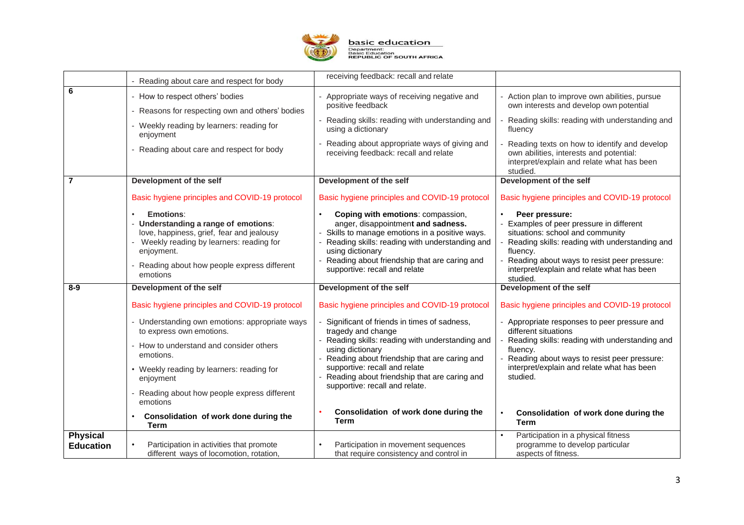

|                                     |                                                                                                                                                                                                                     | receiving feedback: recall and relate                                                                                                                                                                                                                                           |                                                                                                                                                                                                                                                                     |
|-------------------------------------|---------------------------------------------------------------------------------------------------------------------------------------------------------------------------------------------------------------------|---------------------------------------------------------------------------------------------------------------------------------------------------------------------------------------------------------------------------------------------------------------------------------|---------------------------------------------------------------------------------------------------------------------------------------------------------------------------------------------------------------------------------------------------------------------|
|                                     | Reading about care and respect for body                                                                                                                                                                             |                                                                                                                                                                                                                                                                                 |                                                                                                                                                                                                                                                                     |
| 6                                   | - How to respect others' bodies                                                                                                                                                                                     | Appropriate ways of receiving negative and<br>positive feedback                                                                                                                                                                                                                 | Action plan to improve own abilities, pursue<br>own interests and develop own potential                                                                                                                                                                             |
|                                     | Reasons for respecting own and others' bodies                                                                                                                                                                       |                                                                                                                                                                                                                                                                                 |                                                                                                                                                                                                                                                                     |
|                                     | - Weekly reading by learners: reading for<br>enjoyment                                                                                                                                                              | Reading skills: reading with understanding and<br>using a dictionary                                                                                                                                                                                                            | Reading skills: reading with understanding and<br>fluency                                                                                                                                                                                                           |
|                                     | - Reading about care and respect for body                                                                                                                                                                           | Reading about appropriate ways of giving and<br>receiving feedback: recall and relate                                                                                                                                                                                           | Reading texts on how to identify and develop<br>own abilities, interests and potential:<br>interpret/explain and relate what has been<br>studied.                                                                                                                   |
| $\overline{7}$                      | Development of the self                                                                                                                                                                                             | Development of the self                                                                                                                                                                                                                                                         | Development of the self                                                                                                                                                                                                                                             |
|                                     | Basic hygiene principles and COVID-19 protocol                                                                                                                                                                      | Basic hygiene principles and COVID-19 protocol                                                                                                                                                                                                                                  | Basic hygiene principles and COVID-19 protocol                                                                                                                                                                                                                      |
|                                     | Emotions:<br>- Understanding a range of emotions:<br>love, happiness, grief, fear and jealousy<br>- Weekly reading by learners: reading for<br>enjoyment.<br>Reading about how people express different<br>emotions | Coping with emotions: compassion,<br>anger, disappointment and sadness.<br>Skills to manage emotions in a positive ways.<br>Reading skills: reading with understanding and<br>using dictionary<br>Reading about friendship that are caring and<br>supportive: recall and relate | Peer pressure:<br>Examples of peer pressure in different<br>situations: school and community<br>Reading skills: reading with understanding and<br>fluency.<br>Reading about ways to resist peer pressure:<br>interpret/explain and relate what has been<br>studied. |
| $8-9$                               | Development of the self                                                                                                                                                                                             | Development of the self                                                                                                                                                                                                                                                         | Development of the self                                                                                                                                                                                                                                             |
|                                     | Basic hygiene principles and COVID-19 protocol                                                                                                                                                                      | Basic hygiene principles and COVID-19 protocol                                                                                                                                                                                                                                  | Basic hygiene principles and COVID-19 protocol                                                                                                                                                                                                                      |
|                                     | - Understanding own emotions: appropriate ways<br>to express own emotions.                                                                                                                                          | Significant of friends in times of sadness,<br>tragedy and change                                                                                                                                                                                                               | - Appropriate responses to peer pressure and<br>different situations                                                                                                                                                                                                |
|                                     | - How to understand and consider others<br>emotions.                                                                                                                                                                | Reading skills: reading with understanding and<br>using dictionary<br>Reading about friendship that are caring and                                                                                                                                                              | Reading skills: reading with understanding and<br>fluency.<br>Reading about ways to resist peer pressure:                                                                                                                                                           |
|                                     | • Weekly reading by learners: reading for<br>enjoyment                                                                                                                                                              | supportive: recall and relate<br>Reading about friendship that are caring and                                                                                                                                                                                                   | interpret/explain and relate what has been<br>studied.                                                                                                                                                                                                              |
|                                     | Reading about how people express different<br>emotions                                                                                                                                                              | supportive: recall and relate.                                                                                                                                                                                                                                                  |                                                                                                                                                                                                                                                                     |
|                                     | Consolidation of work done during the<br><b>Term</b>                                                                                                                                                                | Consolidation of work done during the<br><b>Term</b>                                                                                                                                                                                                                            | Consolidation of work done during the<br><b>Term</b>                                                                                                                                                                                                                |
| <b>Physical</b><br><b>Education</b> | Participation in activities that promote<br>different ways of locomotion, rotation,                                                                                                                                 | Participation in movement sequences<br>that require consistency and control in                                                                                                                                                                                                  | Participation in a physical fitness<br>programme to develop particular<br>aspects of fitness.                                                                                                                                                                       |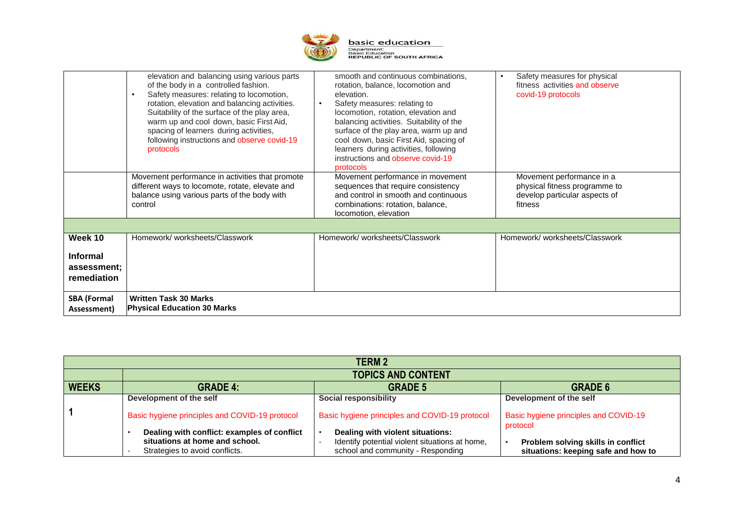

|                                                          | elevation and balancing using various parts<br>of the body in a controlled fashion.<br>Safety measures: relating to locomotion,<br>rotation, elevation and balancing activities.<br>Suitability of the surface of the play area,<br>warm up and cool down, basic First Aid,<br>spacing of learners during activities,<br>following instructions and observe covid-19<br>protocols | smooth and continuous combinations,<br>rotation, balance, locomotion and<br>elevation.<br>Safety measures: relating to<br>$\bullet$<br>locomotion, rotation, elevation and<br>balancing activities. Suitability of the<br>surface of the play area, warm up and<br>cool down, basic First Aid, spacing of<br>learners during activities, following<br>instructions and observe covid-19<br>protocols | Safety measures for physical<br>$\bullet$<br>fitness activities and observe<br>covid-19 protocols      |
|----------------------------------------------------------|-----------------------------------------------------------------------------------------------------------------------------------------------------------------------------------------------------------------------------------------------------------------------------------------------------------------------------------------------------------------------------------|------------------------------------------------------------------------------------------------------------------------------------------------------------------------------------------------------------------------------------------------------------------------------------------------------------------------------------------------------------------------------------------------------|--------------------------------------------------------------------------------------------------------|
|                                                          | Movement performance in activities that promote<br>different ways to locomote, rotate, elevate and<br>balance using various parts of the body with<br>control                                                                                                                                                                                                                     | Movement performance in movement<br>sequences that require consistency<br>and control in smooth and continuous<br>combinations: rotation, balance,<br>locomotion, elevation                                                                                                                                                                                                                          | Movement performance in a<br>physical fitness programme to<br>develop particular aspects of<br>fitness |
|                                                          |                                                                                                                                                                                                                                                                                                                                                                                   |                                                                                                                                                                                                                                                                                                                                                                                                      |                                                                                                        |
| Week 10<br><b>Informal</b><br>assessment;<br>remediation | Homework/worksheets/Classwork                                                                                                                                                                                                                                                                                                                                                     | Homework/worksheets/Classwork                                                                                                                                                                                                                                                                                                                                                                        | Homework/worksheets/Classwork                                                                          |
| <b>SBA (Formal</b><br>Assessment)                        | <b>Written Task 30 Marks</b><br><b>Physical Education 30 Marks</b>                                                                                                                                                                                                                                                                                                                |                                                                                                                                                                                                                                                                                                                                                                                                      |                                                                                                        |

| <b>TERM 2</b> |                                                                                                                 |                                                                                                                         |                                                                           |  |
|---------------|-----------------------------------------------------------------------------------------------------------------|-------------------------------------------------------------------------------------------------------------------------|---------------------------------------------------------------------------|--|
|               | <b>TOPICS AND CONTENT</b>                                                                                       |                                                                                                                         |                                                                           |  |
| <b>WEEKS</b>  | <b>GRADE 4:</b>                                                                                                 | <b>GRADE 5</b>                                                                                                          | <b>GRADE 6</b>                                                            |  |
|               | Development of the self                                                                                         | <b>Social responsibility</b>                                                                                            | Development of the self                                                   |  |
|               | Basic hygiene principles and COVID-19 protocol                                                                  | Basic hygiene principles and COVID-19 protocol                                                                          | Basic hygiene principles and COVID-19<br>protocol                         |  |
|               | Dealing with conflict: examples of conflict<br>situations at home and school.<br>Strategies to avoid conflicts. | Dealing with violent situations:<br>Identify potential violent situations at home,<br>school and community - Responding | Problem solving skills in conflict<br>situations: keeping safe and how to |  |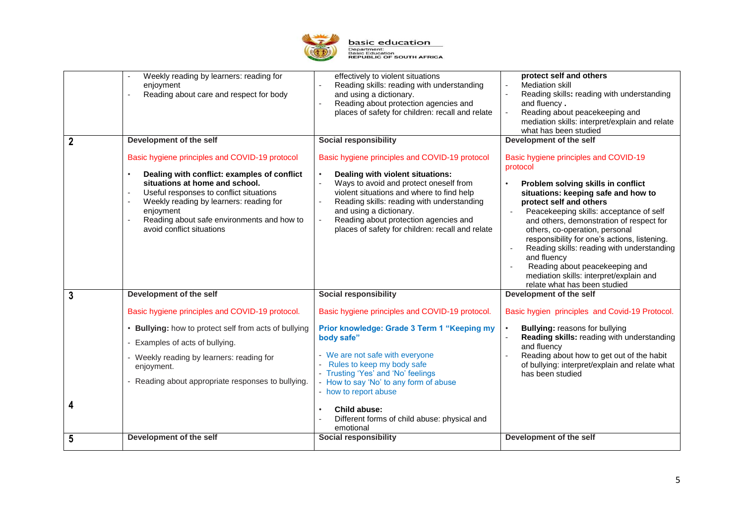

|             | Weekly reading by learners: reading for<br>enjoyment<br>Reading about care and respect for body                                                                                                                                                                                                               | effectively to violent situations<br>Reading skills: reading with understanding<br>and using a dictionary.<br>Reading about protection agencies and<br>places of safety for children: recall and relate                                                                                                                                         | protect self and others<br><b>Mediation skill</b><br>Reading skills: reading with understanding<br>and fluency.<br>Reading about peacekeeping and<br>mediation skills: interpret/explain and relate<br>what has been studied                                                                                                                                                                                                                                                                                                   |
|-------------|---------------------------------------------------------------------------------------------------------------------------------------------------------------------------------------------------------------------------------------------------------------------------------------------------------------|-------------------------------------------------------------------------------------------------------------------------------------------------------------------------------------------------------------------------------------------------------------------------------------------------------------------------------------------------|--------------------------------------------------------------------------------------------------------------------------------------------------------------------------------------------------------------------------------------------------------------------------------------------------------------------------------------------------------------------------------------------------------------------------------------------------------------------------------------------------------------------------------|
| $\mathbf 2$ | Development of the self                                                                                                                                                                                                                                                                                       | <b>Social responsibility</b>                                                                                                                                                                                                                                                                                                                    | Development of the self                                                                                                                                                                                                                                                                                                                                                                                                                                                                                                        |
|             | Basic hygiene principles and COVID-19 protocol<br>Dealing with conflict: examples of conflict<br>situations at home and school.<br>Useful responses to conflict situations<br>Weekly reading by learners: reading for<br>enjoyment<br>Reading about safe environments and how to<br>avoid conflict situations | Basic hygiene principles and COVID-19 protocol<br>Dealing with violent situations:<br>Ways to avoid and protect oneself from<br>violent situations and where to find help<br>Reading skills: reading with understanding<br>and using a dictionary.<br>Reading about protection agencies and<br>places of safety for children: recall and relate | Basic hygiene principles and COVID-19<br>protocol<br>Problem solving skills in conflict<br>situations: keeping safe and how to<br>protect self and others<br>Peacekeeping skills: acceptance of self<br>and others, demonstration of respect for<br>others, co-operation, personal<br>responsibility for one's actions, listening.<br>Reading skills: reading with understanding<br>$\blacksquare$<br>and fluency<br>Reading about peacekeeping and<br>mediation skills: interpret/explain and<br>relate what has been studied |
| 3           | Development of the self                                                                                                                                                                                                                                                                                       | <b>Social responsibility</b>                                                                                                                                                                                                                                                                                                                    | Development of the self                                                                                                                                                                                                                                                                                                                                                                                                                                                                                                        |
|             | Basic hygiene principles and COVID-19 protocol.                                                                                                                                                                                                                                                               | Basic hygiene principles and COVID-19 protocol.                                                                                                                                                                                                                                                                                                 | Basic hygien principles and Covid-19 Protocol.                                                                                                                                                                                                                                                                                                                                                                                                                                                                                 |
|             | • Bullying: how to protect self from acts of bullying<br>Examples of acts of bullying.                                                                                                                                                                                                                        | Prior knowledge: Grade 3 Term 1 "Keeping my<br>body safe"                                                                                                                                                                                                                                                                                       | <b>Bullying: reasons for bullying</b><br>Reading skills: reading with understanding<br>and fluency                                                                                                                                                                                                                                                                                                                                                                                                                             |
|             | - Weekly reading by learners: reading for<br>enjoyment.                                                                                                                                                                                                                                                       | - We are not safe with everyone<br>Rules to keep my body safe<br>- Trusting 'Yes' and 'No' feelings                                                                                                                                                                                                                                             | Reading about how to get out of the habit<br>of bullying: interpret/explain and relate what<br>has been studied                                                                                                                                                                                                                                                                                                                                                                                                                |
|             | Reading about appropriate responses to bullying.                                                                                                                                                                                                                                                              | - How to say 'No' to any form of abuse<br>- how to report abuse                                                                                                                                                                                                                                                                                 |                                                                                                                                                                                                                                                                                                                                                                                                                                                                                                                                |
| 4           |                                                                                                                                                                                                                                                                                                               | Child abuse:<br>Different forms of child abuse: physical and<br>emotional                                                                                                                                                                                                                                                                       |                                                                                                                                                                                                                                                                                                                                                                                                                                                                                                                                |
| 5           | Development of the self                                                                                                                                                                                                                                                                                       | <b>Social responsibility</b>                                                                                                                                                                                                                                                                                                                    | Development of the self                                                                                                                                                                                                                                                                                                                                                                                                                                                                                                        |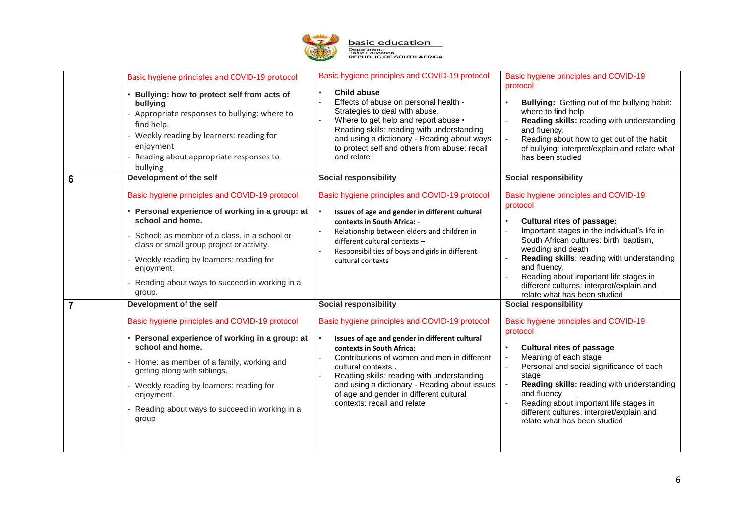

|   | Basic hygiene principles and COVID-19 protocol<br>• Bullying: how to protect self from acts of<br>bullying<br>- Appropriate responses to bullying: where to<br>find help.<br>- Weekly reading by learners: reading for<br>enjoyment<br>Reading about appropriate responses to<br>bullying                                                                             | Basic hygiene principles and COVID-19 protocol<br>Child abuse<br>$\bullet$<br>Effects of abuse on personal health -<br>Strategies to deal with abuse.<br>Where to get help and report abuse •<br>Reading skills: reading with understanding<br>and using a dictionary - Reading about ways<br>to protect self and others from abuse: recall<br>and relate                                                                | Basic hygiene principles and COVID-19<br>protocol<br>Bullying: Getting out of the bullying habit:<br>where to find help<br>Reading skills: reading with understanding<br>and fluency.<br>Reading about how to get out of the habit<br>of bullying: interpret/explain and relate what<br>has been studied                                                                                                             |
|---|-----------------------------------------------------------------------------------------------------------------------------------------------------------------------------------------------------------------------------------------------------------------------------------------------------------------------------------------------------------------------|--------------------------------------------------------------------------------------------------------------------------------------------------------------------------------------------------------------------------------------------------------------------------------------------------------------------------------------------------------------------------------------------------------------------------|----------------------------------------------------------------------------------------------------------------------------------------------------------------------------------------------------------------------------------------------------------------------------------------------------------------------------------------------------------------------------------------------------------------------|
| 6 | Development of the self<br>Basic hygiene principles and COVID-19 protocol<br>• Personal experience of working in a group: at<br>school and home.<br>- School: as member of a class, in a school or<br>class or small group project or activity.<br>- Weekly reading by learners: reading for<br>enjoyment.<br>Reading about ways to succeed in working in a<br>group. | <b>Social responsibility</b><br>Basic hygiene principles and COVID-19 protocol<br>Issues of age and gender in different cultural<br>contexts in South Africa: -<br>Relationship between elders and children in<br>different cultural contexts -<br>Responsibilities of boys and girls in different<br>cultural contexts                                                                                                  | Social responsibility<br>Basic hygiene principles and COVID-19<br>protocol<br><b>Cultural rites of passage:</b><br>Important stages in the individual's life in<br>South African cultures: birth, baptism,<br>wedding and death<br>Reading skills: reading with understanding<br>and fluency.<br>Reading about important life stages in<br>different cultures: interpret/explain and<br>relate what has been studied |
|   | Development of the self<br>Basic hygiene principles and COVID-19 protocol<br>• Personal experience of working in a group: at<br>school and home.<br>- Home: as member of a family, working and<br>getting along with siblings.<br>- Weekly reading by learners: reading for<br>enjoyment.<br>Reading about ways to succeed in working in a<br>group                   | <b>Social responsibility</b><br>Basic hygiene principles and COVID-19 protocol<br>$\bullet$<br>Issues of age and gender in different cultural<br>contexts in South Africa:<br>Contributions of women and men in different<br>cultural contexts.<br>Reading skills: reading with understanding<br>and using a dictionary - Reading about issues<br>of age and gender in different cultural<br>contexts: recall and relate | <b>Social responsibility</b><br>Basic hygiene principles and COVID-19<br>protocol<br><b>Cultural rites of passage</b><br>Meaning of each stage<br>Personal and social significance of each<br>stage<br>Reading skills: reading with understanding<br>and fluency<br>Reading about important life stages in<br>different cultures: interpret/explain and<br>relate what has been studied                              |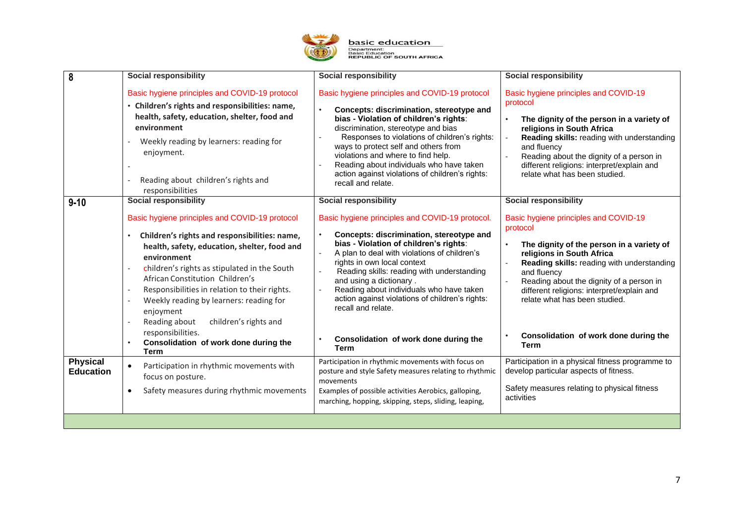

| 8                                   | <b>Social responsibility</b>                                                                                                                                                                                                                                                                                                                                                                                                           | <b>Social responsibility</b>                                                                                                                                                                                                                                                                                                                                                                                                    | <b>Social responsibility</b>                                                                                                                                                                                                                                                                                        |
|-------------------------------------|----------------------------------------------------------------------------------------------------------------------------------------------------------------------------------------------------------------------------------------------------------------------------------------------------------------------------------------------------------------------------------------------------------------------------------------|---------------------------------------------------------------------------------------------------------------------------------------------------------------------------------------------------------------------------------------------------------------------------------------------------------------------------------------------------------------------------------------------------------------------------------|---------------------------------------------------------------------------------------------------------------------------------------------------------------------------------------------------------------------------------------------------------------------------------------------------------------------|
|                                     | Basic hygiene principles and COVID-19 protocol<br>• Children's rights and responsibilities: name,<br>health, safety, education, shelter, food and<br>environment<br>Weekly reading by learners: reading for<br>enjoyment.<br>Reading about children's rights and<br>responsibilities                                                                                                                                                   | Basic hygiene principles and COVID-19 protocol<br>Concepts: discrimination, stereotype and<br>bias - Violation of children's rights:<br>discrimination, stereotype and bias<br>Responses to violations of children's rights:<br>ways to protect self and others from<br>violations and where to find help.<br>Reading about individuals who have taken<br>action against violations of children's rights:<br>recall and relate. | Basic hygiene principles and COVID-19<br>protocol<br>The dignity of the person in a variety of<br>religions in South Africa<br>Reading skills: reading with understanding<br>and fluency<br>Reading about the dignity of a person in<br>different religions: interpret/explain and<br>relate what has been studied. |
| $9 - 10$                            | <b>Social responsibility</b>                                                                                                                                                                                                                                                                                                                                                                                                           | <b>Social responsibility</b>                                                                                                                                                                                                                                                                                                                                                                                                    | <b>Social responsibility</b>                                                                                                                                                                                                                                                                                        |
|                                     | Basic hygiene principles and COVID-19 protocol<br>Children's rights and responsibilities: name,<br>$\bullet$<br>health, safety, education, shelter, food and<br>environment<br>children's rights as stipulated in the South<br>African Constitution Children's<br>Responsibilities in relation to their rights.<br>Weekly reading by learners: reading for<br>enjoyment<br>Reading about<br>children's rights and<br>responsibilities. | Basic hygiene principles and COVID-19 protocol.<br>Concepts: discrimination, stereotype and<br>bias - Violation of children's rights:<br>A plan to deal with violations of children's<br>rights in own local context<br>Reading skills: reading with understanding<br>and using a dictionary.<br>Reading about individuals who have taken<br>action against violations of children's rights:<br>recall and relate.              | Basic hygiene principles and COVID-19<br>protocol<br>The dignity of the person in a variety of<br>religions in South Africa<br>Reading skills: reading with understanding<br>and fluency<br>Reading about the dignity of a person in<br>different religions: interpret/explain and<br>relate what has been studied. |
|                                     | Consolidation of work done during the<br><b>Term</b>                                                                                                                                                                                                                                                                                                                                                                                   | Consolidation of work done during the<br><b>Term</b>                                                                                                                                                                                                                                                                                                                                                                            | Consolidation of work done during the<br><b>Term</b>                                                                                                                                                                                                                                                                |
| <b>Physical</b><br><b>Education</b> | Participation in rhythmic movements with<br>$\bullet$<br>focus on posture.<br>Safety measures during rhythmic movements<br>$\bullet$                                                                                                                                                                                                                                                                                                   | Participation in rhythmic movements with focus on<br>posture and style Safety measures relating to rhythmic<br>movements<br>Examples of possible activities Aerobics, galloping,<br>marching, hopping, skipping, steps, sliding, leaping,                                                                                                                                                                                       | Participation in a physical fitness programme to<br>develop particular aspects of fitness.<br>Safety measures relating to physical fitness<br>activities                                                                                                                                                            |
|                                     |                                                                                                                                                                                                                                                                                                                                                                                                                                        |                                                                                                                                                                                                                                                                                                                                                                                                                                 |                                                                                                                                                                                                                                                                                                                     |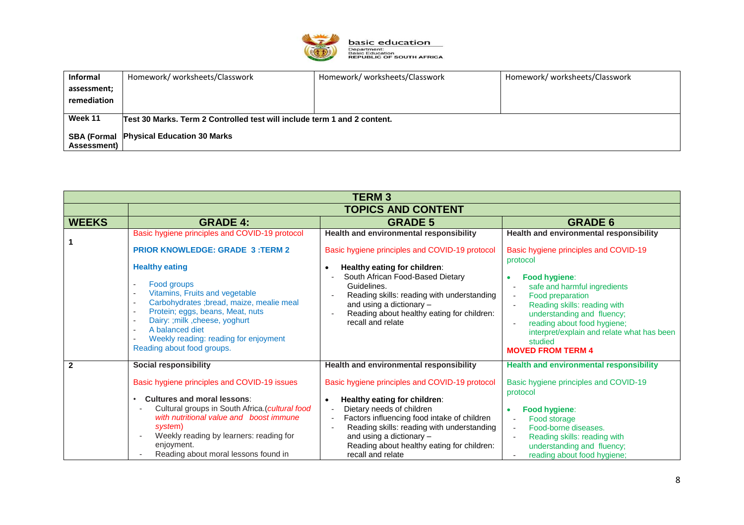

| Informal    | Homework/worksheets/Classwork                                            | Homework/worksheets/Classwork | Homework/worksheets/Classwork |
|-------------|--------------------------------------------------------------------------|-------------------------------|-------------------------------|
| assessment; |                                                                          |                               |                               |
| remediation |                                                                          |                               |                               |
|             |                                                                          |                               |                               |
| Week 11     | Test 30 Marks, Term 2 Controlled test will include term 1 and 2 content. |                               |                               |
|             | <b>SBA (Formal Physical Education 30 Marks)</b>                          |                               |                               |
| Assessment) |                                                                          |                               |                               |

| <b>TERM3</b>   |                                                                                                                                                                                                                                                                                                                                                                                                                                                                                                                     |                                                                                                                                                                                                                                                                                                                           |                                                                                                                                                                                                                                                                                                                                                                                 |  |
|----------------|---------------------------------------------------------------------------------------------------------------------------------------------------------------------------------------------------------------------------------------------------------------------------------------------------------------------------------------------------------------------------------------------------------------------------------------------------------------------------------------------------------------------|---------------------------------------------------------------------------------------------------------------------------------------------------------------------------------------------------------------------------------------------------------------------------------------------------------------------------|---------------------------------------------------------------------------------------------------------------------------------------------------------------------------------------------------------------------------------------------------------------------------------------------------------------------------------------------------------------------------------|--|
|                | <b>TOPICS AND CONTENT</b>                                                                                                                                                                                                                                                                                                                                                                                                                                                                                           |                                                                                                                                                                                                                                                                                                                           |                                                                                                                                                                                                                                                                                                                                                                                 |  |
| <b>WEEKS</b>   | <b>GRADE 4:</b>                                                                                                                                                                                                                                                                                                                                                                                                                                                                                                     | <b>GRADE 5</b>                                                                                                                                                                                                                                                                                                            | <b>GRADE 6</b>                                                                                                                                                                                                                                                                                                                                                                  |  |
|                | Basic hygiene principles and COVID-19 protocol<br><b>PRIOR KNOWLEDGE: GRADE 3:TERM 2</b><br><b>Healthy eating</b><br>Food groups<br>$\overline{\phantom{a}}$<br>Vitamins, Fruits and vegetable<br>$\sim$<br>Carbohydrates ; bread, maize, mealie meal<br>$\overline{\phantom{a}}$<br>Protein; eggs, beans, Meat, nuts<br>$\overline{\phantom{a}}$<br>Dairy: ; milk, cheese, yoghurt<br>$\overline{\phantom{a}}$<br>A balanced diet<br>Weekly reading: reading for enjoyment<br>$\sim$<br>Reading about food groups. | Health and environmental responsibility<br>Basic hygiene principles and COVID-19 protocol<br>Healthy eating for children:<br>South African Food-Based Dietary<br>Guidelines.<br>Reading skills: reading with understanding<br>and using a dictionary -<br>Reading about healthy eating for children:<br>recall and relate | Health and environmental responsibility<br>Basic hygiene principles and COVID-19<br>protocol<br>Food hygiene:<br>safe and harmful ingredients<br>Food preparation<br>$\overline{\phantom{a}}$<br>Reading skills: reading with<br>understanding and fluency;<br>reading about food hygiene;<br>interpret/explain and relate what has been<br>studied<br><b>MOVED FROM TERM 4</b> |  |
| $\overline{2}$ | <b>Social responsibility</b>                                                                                                                                                                                                                                                                                                                                                                                                                                                                                        | Health and environmental responsibility                                                                                                                                                                                                                                                                                   | <b>Health and environmental responsibility</b>                                                                                                                                                                                                                                                                                                                                  |  |
|                | Basic hygiene principles and COVID-19 issues<br><b>Cultures and moral lessons:</b>                                                                                                                                                                                                                                                                                                                                                                                                                                  | Basic hygiene principles and COVID-19 protocol<br>$\bullet$                                                                                                                                                                                                                                                               | Basic hygiene principles and COVID-19<br>protocol                                                                                                                                                                                                                                                                                                                               |  |
|                | Cultural groups in South Africa. (cultural food<br>with nutritional value and boost immune<br>system)<br>Weekly reading by learners: reading for<br>enjoyment.<br>Reading about moral lessons found in                                                                                                                                                                                                                                                                                                              | Healthy eating for children:<br>Dietary needs of children<br>$\blacksquare$<br>Factors influencing food intake of children<br>Reading skills: reading with understanding<br>and using a dictionary -<br>Reading about healthy eating for children:<br>recall and relate                                                   | Food hygiene:<br>۰<br>Food storage<br>$\overline{\phantom{a}}$<br>Food-borne diseases.<br>$\overline{\phantom{a}}$<br>Reading skills: reading with<br>understanding and fluency;<br>reading about food hygiene;                                                                                                                                                                 |  |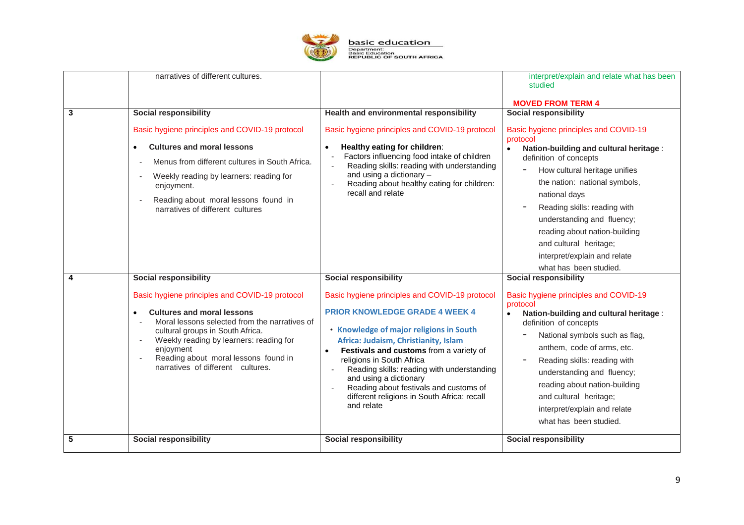

|   | narratives of different cultures.                                                                                                                                                                                                                                                                                                         |                                                                                                                                                                                                                                                                                                                                                                                                                                                                            | interpret/explain and relate what has been<br>studied<br><b>MOVED FROM TERM 4</b>                                                                                                                                                                                                                                                                                                                                                         |
|---|-------------------------------------------------------------------------------------------------------------------------------------------------------------------------------------------------------------------------------------------------------------------------------------------------------------------------------------------|----------------------------------------------------------------------------------------------------------------------------------------------------------------------------------------------------------------------------------------------------------------------------------------------------------------------------------------------------------------------------------------------------------------------------------------------------------------------------|-------------------------------------------------------------------------------------------------------------------------------------------------------------------------------------------------------------------------------------------------------------------------------------------------------------------------------------------------------------------------------------------------------------------------------------------|
| 3 | <b>Social responsibility</b><br>Basic hygiene principles and COVID-19 protocol<br><b>Cultures and moral lessons</b><br>$\bullet$<br>Menus from different cultures in South Africa.<br>Weekly reading by learners: reading for<br>$\blacksquare$<br>enjoyment.<br>Reading about moral lessons found in<br>narratives of different cultures | Health and environmental responsibility<br>Basic hygiene principles and COVID-19 protocol<br>Healthy eating for children:<br>$\bullet$<br>Factors influencing food intake of children<br>Reading skills: reading with understanding<br>$\overline{\phantom{a}}$<br>and using a dictionary -<br>Reading about healthy eating for children:<br>$\sim$<br>recall and relate                                                                                                   | <b>Social responsibility</b><br>Basic hygiene principles and COVID-19<br>protocol<br>Nation-building and cultural heritage :<br>$\bullet$<br>definition of concepts<br>How cultural heritage unifies<br>the nation: national symbols,<br>national days<br>Reading skills: reading with<br>understanding and fluency;<br>reading about nation-building<br>and cultural heritage;<br>interpret/explain and relate<br>what has been studied. |
| 4 | <b>Social responsibility</b>                                                                                                                                                                                                                                                                                                              | <b>Social responsibility</b>                                                                                                                                                                                                                                                                                                                                                                                                                                               | <b>Social responsibility</b>                                                                                                                                                                                                                                                                                                                                                                                                              |
|   | Basic hygiene principles and COVID-19 protocol<br><b>Cultures and moral lessons</b><br>Moral lessons selected from the narratives of<br>cultural groups in South Africa.<br>Weekly reading by learners: reading for<br>enjoyment<br>Reading about moral lessons found in<br>narratives of different cultures.                             | Basic hygiene principles and COVID-19 protocol<br><b>PRIOR KNOWLEDGE GRADE 4 WEEK 4</b><br>• Knowledge of major religions in South<br>Africa: Judaism, Christianity, Islam<br>Festivals and customs from a variety of<br>$\bullet$<br>religions in South Africa<br>Reading skills: reading with understanding<br>$\overline{\phantom{a}}$<br>and using a dictionary<br>Reading about festivals and customs of<br>different religions in South Africa: recall<br>and relate | Basic hygiene principles and COVID-19<br>protocol<br>Nation-building and cultural heritage :<br>$\bullet$<br>definition of concepts<br>National symbols such as flag,<br>anthem, code of arms, etc.<br>Reading skills: reading with<br>understanding and fluency;<br>reading about nation-building<br>and cultural heritage;<br>interpret/explain and relate<br>what has been studied.                                                    |
| 5 | <b>Social responsibility</b>                                                                                                                                                                                                                                                                                                              | <b>Social responsibility</b>                                                                                                                                                                                                                                                                                                                                                                                                                                               | <b>Social responsibility</b>                                                                                                                                                                                                                                                                                                                                                                                                              |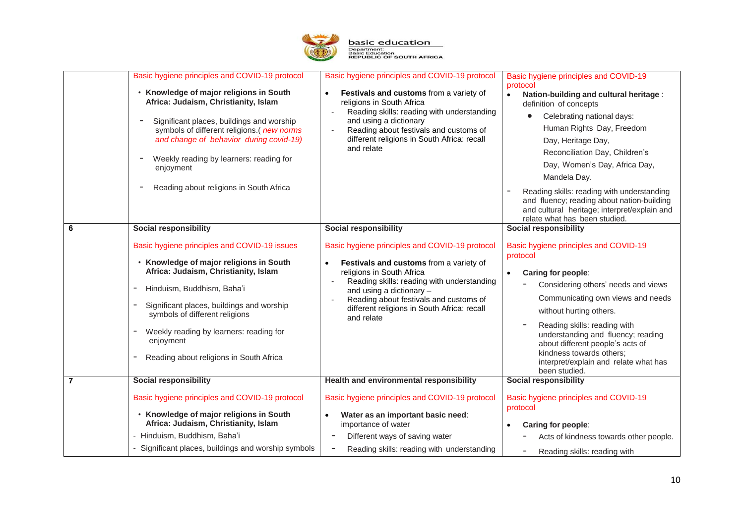

|                | Basic hygiene principles and COVID-19 protocol<br>• Knowledge of major religions in South<br>Africa: Judaism, Christianity, Islam<br>Significant places, buildings and worship<br>symbols of different religions.( new norms<br>and change of behavior during covid-19)<br>Weekly reading by learners: reading for<br>$\overline{\phantom{a}}$<br>enjoyment<br>Reading about religions in South Africa<br>$\qquad \qquad$ | Basic hygiene principles and COVID-19 protocol<br>Festivals and customs from a variety of<br>$\bullet$<br>religions in South Africa<br>Reading skills: reading with understanding<br>and using a dictionary<br>Reading about festivals and customs of<br>different religions in South Africa: recall<br>and relate                                   | Basic hygiene principles and COVID-19<br>protocol<br>Nation-building and cultural heritage :<br>$\bullet$<br>definition of concepts<br>Celebrating national days:<br>Human Rights Day, Freedom<br>Day, Heritage Day,<br>Reconciliation Day, Children's<br>Day, Women's Day, Africa Day,<br>Mandela Day.<br>Reading skills: reading with understanding<br>and fluency; reading about nation-building<br>and cultural heritage; interpret/explain and<br>relate what has been studied. |
|----------------|---------------------------------------------------------------------------------------------------------------------------------------------------------------------------------------------------------------------------------------------------------------------------------------------------------------------------------------------------------------------------------------------------------------------------|------------------------------------------------------------------------------------------------------------------------------------------------------------------------------------------------------------------------------------------------------------------------------------------------------------------------------------------------------|--------------------------------------------------------------------------------------------------------------------------------------------------------------------------------------------------------------------------------------------------------------------------------------------------------------------------------------------------------------------------------------------------------------------------------------------------------------------------------------|
| 6              | <b>Social responsibility</b><br>Basic hygiene principles and COVID-19 issues<br>• Knowledge of major religions in South<br>Africa: Judaism, Christianity, Islam<br>Hinduism, Buddhism, Baha'i<br>Significant places, buildings and worship<br>symbols of different religions<br>Weekly reading by learners: reading for<br>enjoyment<br>Reading about religions in South Africa                                           | <b>Social responsibility</b><br>Basic hygiene principles and COVID-19 protocol<br>Festivals and customs from a variety of<br>$\bullet$<br>religions in South Africa<br>Reading skills: reading with understanding<br>and using a dictionary -<br>Reading about festivals and customs of<br>different religions in South Africa: recall<br>and relate | <b>Social responsibility</b><br>Basic hygiene principles and COVID-19<br>protocol<br>Caring for people:<br>Considering others' needs and views<br>Communicating own views and needs<br>without hurting others.<br>Reading skills: reading with<br>understanding and fluency; reading<br>about different people's acts of<br>kindness towards others;<br>interpret/explain and relate what has<br>been studied.                                                                       |
| $\overline{7}$ | <b>Social responsibility</b><br>Basic hygiene principles and COVID-19 protocol<br>• Knowledge of major religions in South<br>Africa: Judaism, Christianity, Islam<br>- Hinduism, Buddhism, Baha'i<br>- Significant places, buildings and worship symbols                                                                                                                                                                  | Health and environmental responsibility<br>Basic hygiene principles and COVID-19 protocol<br>Water as an important basic need:<br>$\bullet$<br>importance of water<br>Different ways of saving water<br>$\overline{\phantom{a}}$<br>Reading skills: reading with understanding                                                                       | <b>Social responsibility</b><br>Basic hygiene principles and COVID-19<br>protocol<br>Caring for people:<br>Acts of kindness towards other people.<br>Reading skills: reading with<br>-                                                                                                                                                                                                                                                                                               |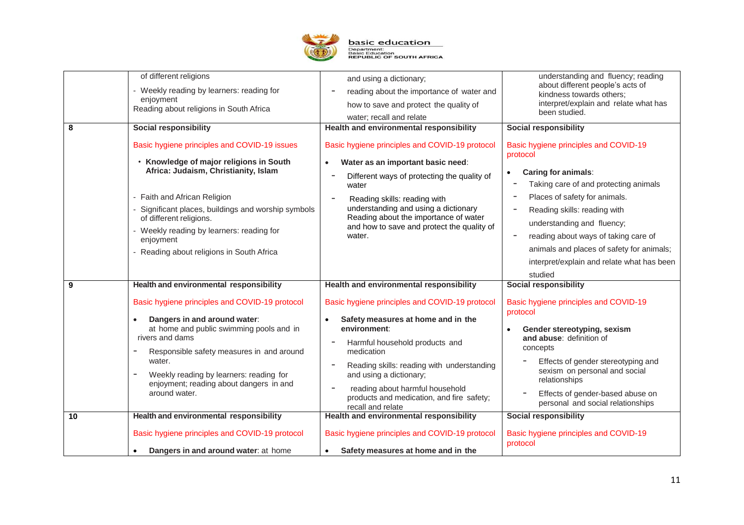

| 8       | of different religions<br>- Weekly reading by learners: reading for<br>enjoyment<br>Reading about religions in South Africa<br><b>Social responsibility</b><br>Basic hygiene principles and COVID-19 issues<br>• Knowledge of major religions in South<br>Africa: Judaism, Christianity, Islam<br>- Faith and African Religion<br>Significant places, buildings and worship symbols<br>of different religions.<br>- Weekly reading by learners: reading for<br>enjoyment<br>- Reading about religions in South Africa   | and using a dictionary;<br>reading about the importance of water and<br>how to save and protect the quality of<br>water; recall and relate<br>Health and environmental responsibility<br>Basic hygiene principles and COVID-19 protocol<br>Water as an important basic need:<br>$\bullet$<br>Different ways of protecting the quality of<br>water<br>Reading skills: reading with<br>understanding and using a dictionary<br>Reading about the importance of water<br>and how to save and protect the quality of<br>water.         | understanding and fluency; reading<br>about different people's acts of<br>kindness towards others;<br>interpret/explain and relate what has<br>been studied.<br><b>Social responsibility</b><br>Basic hygiene principles and COVID-19<br>protocol<br><b>Caring for animals:</b><br>$\bullet$<br>Taking care of and protecting animals<br>Places of safety for animals.<br>Reading skills: reading with<br>understanding and fluency;<br>reading about ways of taking care of<br>animals and places of safety for animals;<br>interpret/explain and relate what has been<br>studied |
|---------|-------------------------------------------------------------------------------------------------------------------------------------------------------------------------------------------------------------------------------------------------------------------------------------------------------------------------------------------------------------------------------------------------------------------------------------------------------------------------------------------------------------------------|------------------------------------------------------------------------------------------------------------------------------------------------------------------------------------------------------------------------------------------------------------------------------------------------------------------------------------------------------------------------------------------------------------------------------------------------------------------------------------------------------------------------------------|------------------------------------------------------------------------------------------------------------------------------------------------------------------------------------------------------------------------------------------------------------------------------------------------------------------------------------------------------------------------------------------------------------------------------------------------------------------------------------------------------------------------------------------------------------------------------------|
| 9<br>10 | Health and environmental responsibility<br>Basic hygiene principles and COVID-19 protocol<br>Dangers in and around water:<br>at home and public swimming pools and in<br>rivers and dams<br>Responsible safety measures in and around<br>water.<br>Weekly reading by learners: reading for<br>$\overline{\phantom{a}}$<br>enjoyment; reading about dangers in and<br>around water.<br>Health and environmental responsibility<br>Basic hygiene principles and COVID-19 protocol<br>Dangers in and around water: at home | Health and environmental responsibility<br>Basic hygiene principles and COVID-19 protocol<br>Safety measures at home and in the<br>٠<br>environment:<br>Harmful household products and<br>medication<br>Reading skills: reading with understanding<br>and using a dictionary;<br>reading about harmful household<br>products and medication, and fire safety;<br>recall and relate<br>Health and environmental responsibility<br>Basic hygiene principles and COVID-19 protocol<br>Safety measures at home and in the<br>$\bullet$ | <b>Social responsibility</b><br>Basic hygiene principles and COVID-19<br>protocol<br>Gender stereotyping, sexism<br>and abuse: definition of<br>concepts<br>Effects of gender stereotyping and<br>sexism on personal and social<br>relationships<br>Effects of gender-based abuse on<br>personal and social relationships<br><b>Social responsibility</b><br>Basic hygiene principles and COVID-19<br>protocol                                                                                                                                                                     |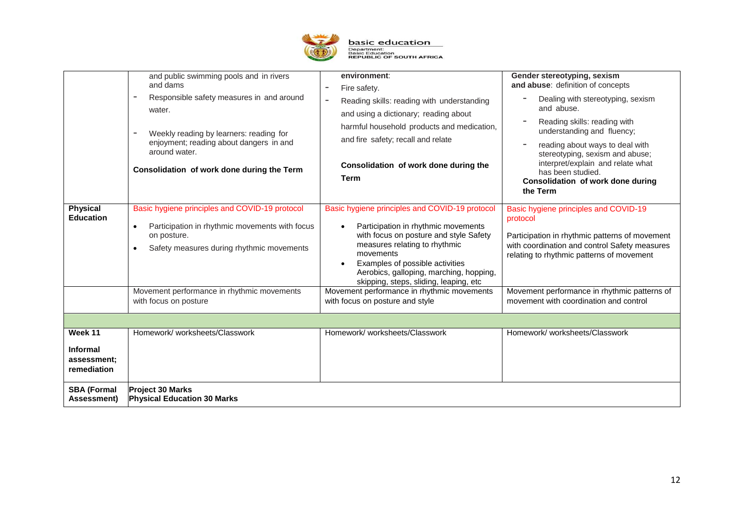

|                                               | and public swimming pools and in rivers<br>and dams<br>Responsible safety measures in and around<br>$\overline{\phantom{a}}$<br>water.<br>Weekly reading by learners: reading for<br>$\overline{\phantom{a}}$<br>enjoyment; reading about dangers in and<br>around water.<br>Consolidation of work done during the Term | environment:<br>Fire safety.<br>-<br>Reading skills: reading with understanding<br>and using a dictionary; reading about<br>harmful household products and medication,<br>and fire safety; recall and relate<br>Consolidation of work done during the<br><b>Term</b>                                                                                                                   | Gender stereotyping, sexism<br>and abuse: definition of concepts<br>Dealing with stereotyping, sexism<br>and abuse.<br>Reading skills: reading with<br>understanding and fluency;<br>reading about ways to deal with<br>stereotyping, sexism and abuse;<br>interpret/explain and relate what<br>has been studied.<br>Consolidation of work done during<br>the Term |  |
|-----------------------------------------------|-------------------------------------------------------------------------------------------------------------------------------------------------------------------------------------------------------------------------------------------------------------------------------------------------------------------------|----------------------------------------------------------------------------------------------------------------------------------------------------------------------------------------------------------------------------------------------------------------------------------------------------------------------------------------------------------------------------------------|--------------------------------------------------------------------------------------------------------------------------------------------------------------------------------------------------------------------------------------------------------------------------------------------------------------------------------------------------------------------|--|
| <b>Physical</b><br><b>Education</b>           | Basic hygiene principles and COVID-19 protocol<br>Participation in rhythmic movements with focus<br>$\bullet$<br>on posture.<br>Safety measures during rhythmic movements<br>$\bullet$<br>Movement performance in rhythmic movements<br>with focus on posture                                                           | Basic hygiene principles and COVID-19 protocol<br>Participation in rhythmic movements<br>with focus on posture and style Safety<br>measures relating to rhythmic<br>movements<br>Examples of possible activities<br>Aerobics, galloping, marching, hopping,<br>skipping, steps, sliding, leaping, etc<br>Movement performance in rhythmic movements<br>with focus on posture and style | Basic hygiene principles and COVID-19<br>protocol<br>Participation in rhythmic patterns of movement<br>with coordination and control Safety measures<br>relating to rhythmic patterns of movement<br>Movement performance in rhythmic patterns of<br>movement with coordination and control                                                                        |  |
|                                               |                                                                                                                                                                                                                                                                                                                         |                                                                                                                                                                                                                                                                                                                                                                                        |                                                                                                                                                                                                                                                                                                                                                                    |  |
| Week 11                                       | Homework/worksheets/Classwork                                                                                                                                                                                                                                                                                           | Homework/worksheets/Classwork                                                                                                                                                                                                                                                                                                                                                          | Homework/worksheets/Classwork                                                                                                                                                                                                                                                                                                                                      |  |
| <b>Informal</b><br>assessment:<br>remediation |                                                                                                                                                                                                                                                                                                                         |                                                                                                                                                                                                                                                                                                                                                                                        |                                                                                                                                                                                                                                                                                                                                                                    |  |
| <b>SBA (Formal</b><br>Assessment)             | <b>Project 30 Marks</b><br><b>Physical Education 30 Marks</b>                                                                                                                                                                                                                                                           |                                                                                                                                                                                                                                                                                                                                                                                        |                                                                                                                                                                                                                                                                                                                                                                    |  |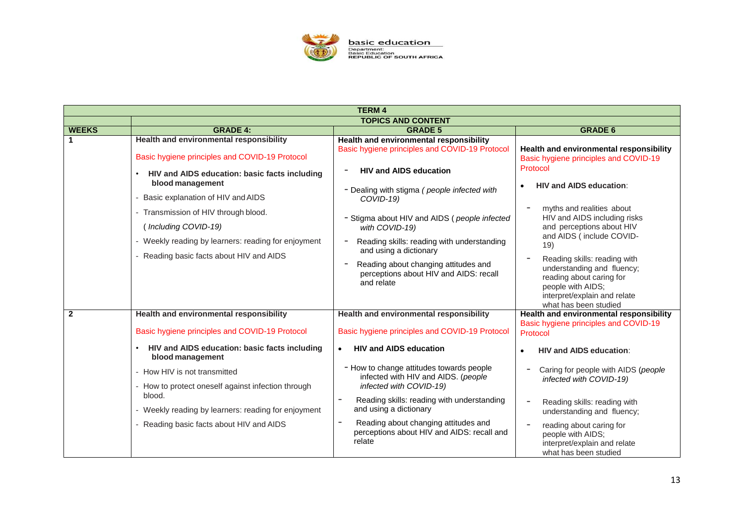

| <b>TERM 4</b>  |                                                                                                                                                                                                                                                                                                                                                                   |                                                                                                                                                                                                                                                                                                                                                                                                                               |                                                                                                                                                                                                                                                                                                                                                                                                         |  |
|----------------|-------------------------------------------------------------------------------------------------------------------------------------------------------------------------------------------------------------------------------------------------------------------------------------------------------------------------------------------------------------------|-------------------------------------------------------------------------------------------------------------------------------------------------------------------------------------------------------------------------------------------------------------------------------------------------------------------------------------------------------------------------------------------------------------------------------|---------------------------------------------------------------------------------------------------------------------------------------------------------------------------------------------------------------------------------------------------------------------------------------------------------------------------------------------------------------------------------------------------------|--|
|                | <b>TOPICS AND CONTENT</b>                                                                                                                                                                                                                                                                                                                                         |                                                                                                                                                                                                                                                                                                                                                                                                                               |                                                                                                                                                                                                                                                                                                                                                                                                         |  |
| <b>WEEKS</b>   | <b>GRADE 4:</b>                                                                                                                                                                                                                                                                                                                                                   | <b>GRADE 5</b>                                                                                                                                                                                                                                                                                                                                                                                                                | <b>GRADE 6</b>                                                                                                                                                                                                                                                                                                                                                                                          |  |
|                | Health and environmental responsibility<br>Basic hygiene principles and COVID-19 Protocol                                                                                                                                                                                                                                                                         | Health and environmental responsibility<br>Basic hygiene principles and COVID-19 Protocol<br><b>HIV and AIDS education</b>                                                                                                                                                                                                                                                                                                    | Health and environmental responsibility<br>Basic hygiene principles and COVID-19<br>Protocol                                                                                                                                                                                                                                                                                                            |  |
|                | HIV and AIDS education: basic facts including<br>blood management<br>Basic explanation of HIV and AIDS<br>- Transmission of HIV through blood.<br>(Including COVID-19)<br>- Weekly reading by learners: reading for enjoyment<br>- Reading basic facts about HIV and AIDS                                                                                         | - Dealing with stigma (people infected with<br>$COVID-19$<br>- Stigma about HIV and AIDS (people infected<br>with COVID-19)<br>Reading skills: reading with understanding<br>and using a dictionary<br>Reading about changing attitudes and<br>perceptions about HIV and AIDS: recall<br>and relate                                                                                                                           | <b>HIV and AIDS education:</b><br>myths and realities about<br>$\overline{\phantom{a}}$<br>HIV and AIDS including risks<br>and perceptions about HIV<br>and AIDS (include COVID-<br>19)<br>Reading skills: reading with<br>$\overline{\phantom{a}}$<br>understanding and fluency;<br>reading about caring for<br>people with AIDS;<br>interpret/explain and relate<br>what has been studied             |  |
| $\overline{2}$ | Health and environmental responsibility<br>Basic hygiene principles and COVID-19 Protocol<br>HIV and AIDS education: basic facts including<br>blood management<br>- How HIV is not transmitted<br>- How to protect oneself against infection through<br>blood.<br>- Weekly reading by learners: reading for enjoyment<br>- Reading basic facts about HIV and AIDS | Health and environmental responsibility<br>Basic hygiene principles and COVID-19 Protocol<br><b>HIV and AIDS education</b><br>$\bullet$<br>- How to change attitudes towards people<br>infected with HIV and AIDS. (people<br>infected with COVID-19)<br>Reading skills: reading with understanding<br>and using a dictionary<br>Reading about changing attitudes and<br>perceptions about HIV and AIDS: recall and<br>relate | Health and environmental responsibility<br>Basic hygiene principles and COVID-19<br>Protocol<br><b>HIV and AIDS education:</b><br>Caring for people with AIDS (people<br>infected with COVID-19)<br>$\overline{\phantom{a}}$<br>Reading skills: reading with<br>understanding and fluency;<br>$\overline{\phantom{a}}$<br>reading about caring for<br>people with AIDS;<br>interpret/explain and relate |  |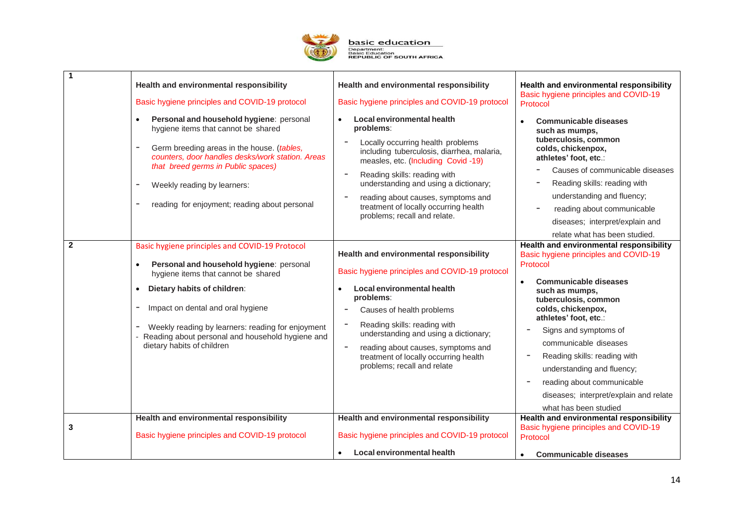

| 1            | Health and environmental responsibility                                                                                                                                                                                                                                                                                                                   | Health and environmental responsibility                                                                                                                                                                                                                                                                                                                                                            | Health and environmental responsibility<br>Basic hygiene principles and COVID-19                                                                                                                                                                                                                                                                                                                                                                                                               |
|--------------|-----------------------------------------------------------------------------------------------------------------------------------------------------------------------------------------------------------------------------------------------------------------------------------------------------------------------------------------------------------|----------------------------------------------------------------------------------------------------------------------------------------------------------------------------------------------------------------------------------------------------------------------------------------------------------------------------------------------------------------------------------------------------|------------------------------------------------------------------------------------------------------------------------------------------------------------------------------------------------------------------------------------------------------------------------------------------------------------------------------------------------------------------------------------------------------------------------------------------------------------------------------------------------|
|              | Basic hygiene principles and COVID-19 protocol                                                                                                                                                                                                                                                                                                            | Basic hygiene principles and COVID-19 protocol                                                                                                                                                                                                                                                                                                                                                     | Protocol                                                                                                                                                                                                                                                                                                                                                                                                                                                                                       |
|              | Personal and household hygiene: personal<br>hygiene items that cannot be shared<br>Germ breeding areas in the house. (tables,<br>counters, door handles desks/work station. Areas<br>that breed germs in Public spaces)<br>Weekly reading by learners:<br>reading for enjoyment; reading about personal                                                   | Local environmental health<br>$\bullet$<br>problems:<br>Locally occurring health problems<br>including tuberculosis, diarrhea, malaria,<br>measles, etc. (Including Covid -19)<br>Reading skills: reading with<br>$\overline{\phantom{a}}$<br>understanding and using a dictionary;<br>reading about causes, symptoms and<br>treatment of locally occurring health<br>problems; recall and relate. | <b>Communicable diseases</b><br>$\bullet$<br>such as mumps,<br>tuberculosis, common<br>colds, chickenpox,<br>athletes' foot, etc.:<br>Causes of communicable diseases<br>Reading skills: reading with<br>understanding and fluency;<br>reading about communicable<br>diseases; interpret/explain and                                                                                                                                                                                           |
|              |                                                                                                                                                                                                                                                                                                                                                           |                                                                                                                                                                                                                                                                                                                                                                                                    | relate what has been studied.                                                                                                                                                                                                                                                                                                                                                                                                                                                                  |
| $\mathbf{2}$ | Basic hygiene principles and COVID-19 Protocol<br>Personal and household hygiene: personal<br>hygiene items that cannot be shared<br>Dietary habits of children:<br>$\bullet$<br>Impact on dental and oral hygiene<br>Weekly reading by learners: reading for enjoyment<br>Reading about personal and household hygiene and<br>dietary habits of children | Health and environmental responsibility<br>Basic hygiene principles and COVID-19 protocol<br>Local environmental health<br>problems:<br>Causes of health problems<br>Reading skills: reading with<br>understanding and using a dictionary;<br>reading about causes, symptoms and<br>$\overline{\phantom{a}}$<br>treatment of locally occurring health<br>problems; recall and relate               | Health and environmental responsibility<br>Basic hygiene principles and COVID-19<br>Protocol<br><b>Communicable diseases</b><br>such as mumps,<br>tuberculosis, common<br>colds, chickenpox,<br>athletes' foot, etc.:<br>Signs and symptoms of<br>communicable diseases<br>Reading skills: reading with<br>$\overline{\phantom{a}}$<br>understanding and fluency;<br>reading about communicable<br>$\overline{\phantom{a}}$<br>diseases; interpret/explain and relate<br>what has been studied |
| 3            | Health and environmental responsibility<br>Basic hygiene principles and COVID-19 protocol                                                                                                                                                                                                                                                                 | Health and environmental responsibility<br>Basic hygiene principles and COVID-19 protocol                                                                                                                                                                                                                                                                                                          | Health and environmental responsibility<br>Basic hygiene principles and COVID-19<br>Protocol                                                                                                                                                                                                                                                                                                                                                                                                   |
|              |                                                                                                                                                                                                                                                                                                                                                           | Local environmental health                                                                                                                                                                                                                                                                                                                                                                         | <b>Communicable diseases</b><br>$\bullet$                                                                                                                                                                                                                                                                                                                                                                                                                                                      |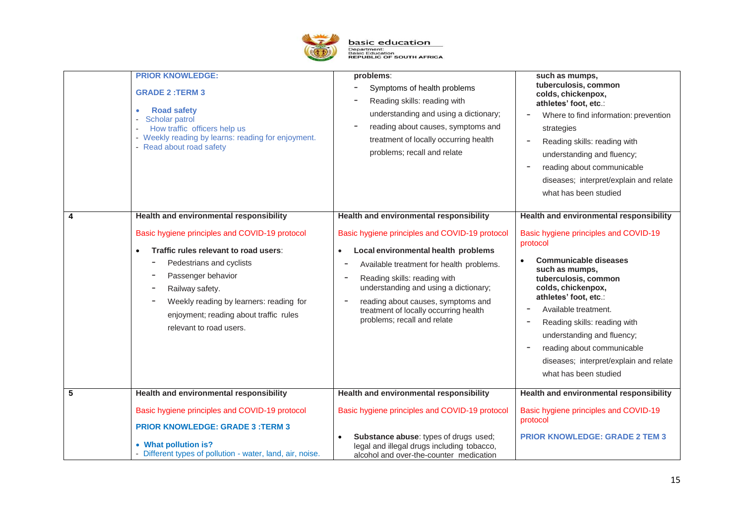

|                 | <b>PRIOR KNOWLEDGE:</b><br><b>GRADE 2:TERM 3</b><br><b>Road safety</b><br>٠<br>Scholar patrol<br>How traffic officers help us<br>- Weekly reading by learns: reading for enjoyment.<br>- Read about road safety                                                                                                                           | problems:<br>Symptoms of health problems<br>Reading skills: reading with<br>understanding and using a dictionary;<br>reading about causes, symptoms and<br>treatment of locally occurring health<br>problems; recall and relate                                                                                                                                                                       | such as mumps,<br>tuberculosis, common<br>colds, chickenpox,<br>athletes' foot, etc.:<br>Where to find information: prevention<br>strategies<br>Reading skills: reading with<br>understanding and fluency;<br>reading about communicable<br>diseases; interpret/explain and relate<br>what has been studied                                                                                                  |
|-----------------|-------------------------------------------------------------------------------------------------------------------------------------------------------------------------------------------------------------------------------------------------------------------------------------------------------------------------------------------|-------------------------------------------------------------------------------------------------------------------------------------------------------------------------------------------------------------------------------------------------------------------------------------------------------------------------------------------------------------------------------------------------------|--------------------------------------------------------------------------------------------------------------------------------------------------------------------------------------------------------------------------------------------------------------------------------------------------------------------------------------------------------------------------------------------------------------|
| 4               | Health and environmental responsibility<br>Basic hygiene principles and COVID-19 protocol<br>Traffic rules relevant to road users:<br>$\bullet$<br>Pedestrians and cyclists<br>Passenger behavior<br>Railway safety.<br>-<br>Weekly reading by learners: reading for<br>enjoyment; reading about traffic rules<br>relevant to road users. | Health and environmental responsibility<br>Basic hygiene principles and COVID-19 protocol<br>Local environmental health problems<br>$\bullet$<br>Available treatment for health problems.<br>Reading skills: reading with<br>understanding and using a dictionary;<br>reading about causes, symptoms and<br>$\qquad \qquad -$<br>treatment of locally occurring health<br>problems; recall and relate | Health and environmental responsibility<br>Basic hygiene principles and COVID-19<br>protocol<br><b>Communicable diseases</b><br>such as mumps,<br>tuberculosis, common<br>colds, chickenpox,<br>athletes' foot, etc.:<br>Available treatment.<br>Reading skills: reading with<br>understanding and fluency;<br>reading about communicable<br>diseases; interpret/explain and relate<br>what has been studied |
| $5\phantom{.0}$ | Health and environmental responsibility<br>Basic hygiene principles and COVID-19 protocol<br><b>PRIOR KNOWLEDGE: GRADE 3: TERM 3</b><br>• What pollution is?<br>Different types of pollution - water, land, air, noise.                                                                                                                   | Health and environmental responsibility<br>Basic hygiene principles and COVID-19 protocol<br>Substance abuse: types of drugs used;<br>$\bullet$<br>legal and illegal drugs including tobacco,<br>alcohol and over-the-counter medication                                                                                                                                                              | Health and environmental responsibility<br>Basic hygiene principles and COVID-19<br>protocol<br><b>PRIOR KNOWLEDGE: GRADE 2 TEM 3</b>                                                                                                                                                                                                                                                                        |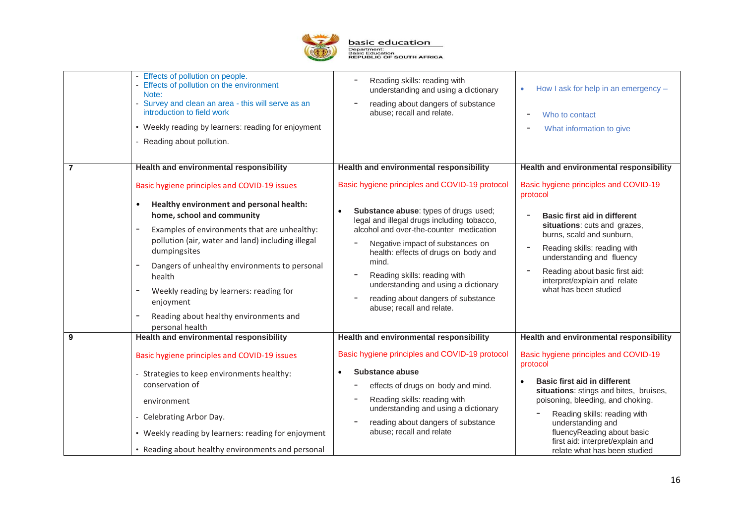

|                | - Effects of pollution on people.<br>- Effects of pollution on the environment<br>Note:<br>- Survey and clean an area - this will serve as an<br>introduction to field work<br>• Weekly reading by learners: reading for enjoyment<br>- Reading about pollution.                                                                                                                                                                         | Reading skills: reading with<br>understanding and using a dictionary<br>reading about dangers of substance<br>abuse; recall and relate.                                                                                                                                                                                                                                                                                       | How I ask for help in an emergency -<br>$\bullet$<br>Who to contact<br>What information to give                                                                                                                                                                                                                                           |
|----------------|------------------------------------------------------------------------------------------------------------------------------------------------------------------------------------------------------------------------------------------------------------------------------------------------------------------------------------------------------------------------------------------------------------------------------------------|-------------------------------------------------------------------------------------------------------------------------------------------------------------------------------------------------------------------------------------------------------------------------------------------------------------------------------------------------------------------------------------------------------------------------------|-------------------------------------------------------------------------------------------------------------------------------------------------------------------------------------------------------------------------------------------------------------------------------------------------------------------------------------------|
| $\overline{7}$ | Health and environmental responsibility                                                                                                                                                                                                                                                                                                                                                                                                  | Health and environmental responsibility                                                                                                                                                                                                                                                                                                                                                                                       | Health and environmental responsibility                                                                                                                                                                                                                                                                                                   |
|                | Basic hygiene principles and COVID-19 issues<br>Healthy environment and personal health:<br>$\bullet$<br>home, school and community<br>Examples of environments that are unhealthy:<br>pollution (air, water and land) including illegal<br>dumpingsites<br>Dangers of unhealthy environments to personal<br>health<br>Weekly reading by learners: reading for<br>enjoyment<br>Reading about healthy environments and<br>personal health | Basic hygiene principles and COVID-19 protocol<br>Substance abuse: types of drugs used;<br>$\bullet$<br>legal and illegal drugs including tobacco,<br>alcohol and over-the-counter medication<br>Negative impact of substances on<br>health: effects of drugs on body and<br>mind.<br>Reading skills: reading with<br>understanding and using a dictionary<br>reading about dangers of substance<br>abuse; recall and relate. | Basic hygiene principles and COVID-19<br>protocol<br><b>Basic first aid in different</b><br>situations: cuts and grazes,<br>burns, scald and sunburn,<br>Reading skills: reading with<br>$\overline{\phantom{a}}$<br>understanding and fluency<br>Reading about basic first aid:<br>interpret/explain and relate<br>what has been studied |
| 9              | <b>Health and environmental responsibility</b>                                                                                                                                                                                                                                                                                                                                                                                           | Health and environmental responsibility                                                                                                                                                                                                                                                                                                                                                                                       | Health and environmental responsibility                                                                                                                                                                                                                                                                                                   |
|                | Basic hygiene principles and COVID-19 issues<br>- Strategies to keep environments healthy:<br>conservation of<br>environment<br>- Celebrating Arbor Day.<br>• Weekly reading by learners: reading for enjoyment<br>• Reading about healthy environments and personal                                                                                                                                                                     | Basic hygiene principles and COVID-19 protocol<br><b>Substance abuse</b><br>$\bullet$<br>effects of drugs on body and mind.<br>Reading skills: reading with<br>understanding and using a dictionary<br>reading about dangers of substance<br>abuse; recall and relate                                                                                                                                                         | Basic hygiene principles and COVID-19<br>protocol<br><b>Basic first aid in different</b><br>situations: stings and bites, bruises,<br>poisoning, bleeding, and choking.<br>Reading skills: reading with<br>understanding and<br>fluencyReading about basic<br>first aid: interpret/explain and<br>relate what has been studied            |